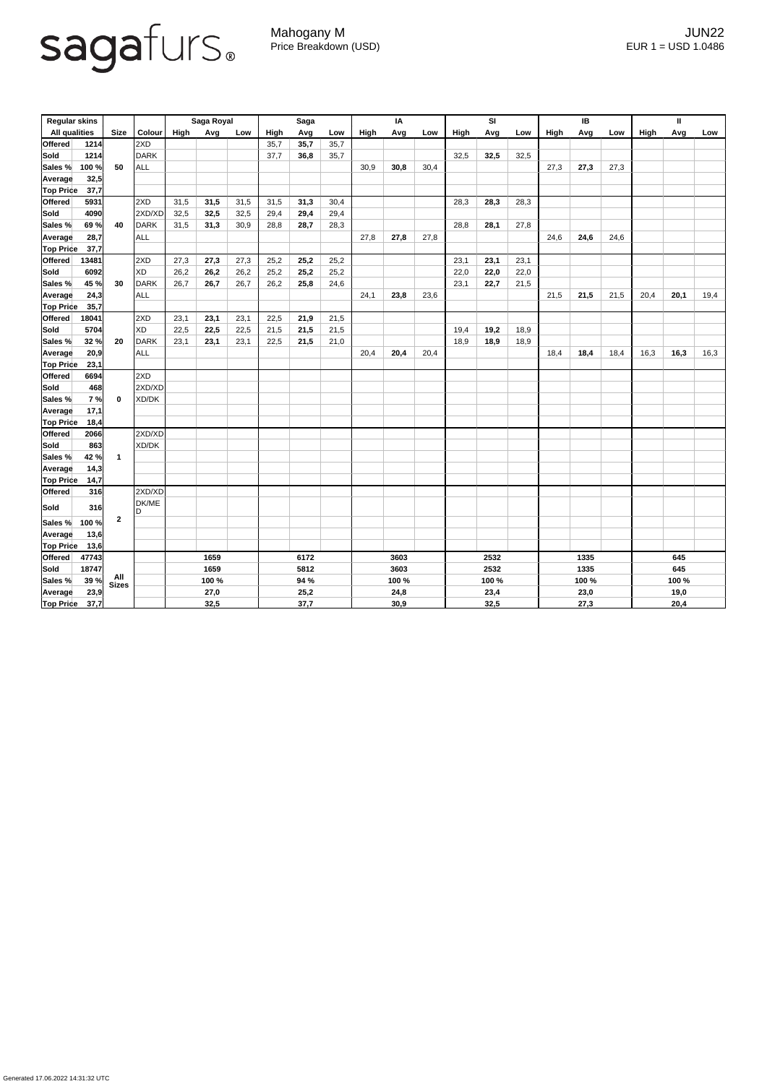## sagafurs.

Mahogany M JUN22 Price Breakdown (USD) error and the USD 1.0486

| <b>Regular skins</b> |       |                      |               | Saga Royal |      |      | <b>Saga</b> |      |      | IA   |       |      | SI   |       |      | IB   |       | Ш    |             |       |      |  |
|----------------------|-------|----------------------|---------------|------------|------|------|-------------|------|------|------|-------|------|------|-------|------|------|-------|------|-------------|-------|------|--|
| <b>All qualities</b> |       | <b>Size</b>          | <b>Colour</b> | High       | Avg  | Low  | <b>High</b> | Avg  | Low  | High | Avg   | Low  | High | Avg   | Low  | High | Avg   | Low  | <b>High</b> | Avg   | Low  |  |
| <b>Offered</b>       | 1214  |                      | 2XD           |            |      |      | 35,7        | 35,7 | 35,7 |      |       |      |      |       |      |      |       |      |             |       |      |  |
| <b>Sold</b>          | 1214  | 50                   | <b>DARK</b>   |            |      |      | 37,7        | 36,8 | 35,7 |      |       |      | 32,5 | 32,5  | 32,5 |      |       |      |             |       |      |  |
| Sales %              | 100 % |                      | <b>ALL</b>    |            |      |      |             |      |      | 30,9 | 30,8  | 30,4 |      |       |      | 27,3 | 27,3  | 27,3 |             |       |      |  |
| <b>Average</b>       | 32,5  |                      |               |            |      |      |             |      |      |      |       |      |      |       |      |      |       |      |             |       |      |  |
| <b>Top Price</b>     | 37,7  |                      |               |            |      |      |             |      |      |      |       |      |      |       |      |      |       |      |             |       |      |  |
| <b>Offered</b>       | 5931  |                      | 2XD           | 31,5       | 31,5 | 31,5 | 31,5        | 31,3 | 30,4 |      |       |      | 28,3 | 28,3  | 28,3 |      |       |      |             |       |      |  |
| <b>Sold</b>          | 4090  | 40                   | 2XD/XD        | 32,5       | 32,5 | 32,5 | 29,4        | 29,4 | 29,4 |      |       |      |      |       |      |      |       |      |             |       |      |  |
| Sales %              | 69 %  |                      | <b>DARK</b>   | 31,5       | 31,3 | 30,9 | 28,8        | 28,7 | 28,3 |      |       |      | 28,8 | 28,1  | 27,8 |      |       |      |             |       |      |  |
| <b>Average</b>       | 28,7  |                      | <b>ALL</b>    |            |      |      |             |      |      | 27,8 | 27,8  | 27,8 |      |       |      | 24,6 | 24,6  | 24,6 |             |       |      |  |
| <b>Top Price</b>     | 37,7  |                      |               |            |      |      |             |      |      |      |       |      |      |       |      |      |       |      |             |       |      |  |
| <b>Offered</b>       | 13481 |                      | 2XD           | 27,3       | 27,3 | 27,3 | 25,2        | 25,2 | 25,2 |      |       |      | 23,1 | 23,1  | 23,1 |      |       |      |             |       |      |  |
| <b>Sold</b>          | 6092  |                      | <b>XD</b>     | 26,2       | 26,2 | 26,2 | 25,2        | 25,2 | 25,2 |      |       |      | 22,0 | 22,0  | 22,0 |      |       |      |             |       |      |  |
| Sales %              | 45 %  | 30                   | <b>DARK</b>   | 26,7       | 26,7 | 26,7 | 26,2        | 25,8 | 24,6 |      |       |      | 23,1 | 22,7  | 21,5 |      |       |      |             |       |      |  |
| <b>Average</b>       | 24,3  |                      | <b>ALL</b>    |            |      |      |             |      |      | 24,1 | 23,8  | 23,6 |      |       |      | 21,5 | 21,5  | 21,5 | 20,4        | 20,1  | 19,4 |  |
| <b>Top Price</b>     | 35,7  |                      |               |            |      |      |             |      |      |      |       |      |      |       |      |      |       |      |             |       |      |  |
| <b>Offered</b>       | 18041 |                      | 2XD           | 23,1       | 23,1 | 23,1 | 22,5        | 21,9 | 21,5 |      |       |      |      |       |      |      |       |      |             |       |      |  |
| <b>Sold</b>          | 5704  |                      | <b>XD</b>     | 22,5       | 22,5 | 22,5 | 21,5        | 21,5 | 21,5 |      |       |      | 19,4 | 19,2  | 18,9 |      |       |      |             |       |      |  |
| Sales %              | 32 %  | 20                   | <b>DARK</b>   | 23,1       | 23,1 | 23,1 | 22,5        | 21,5 | 21,0 |      |       |      | 18,9 | 18,9  | 18,9 |      |       |      |             |       |      |  |
| <b>Average</b>       | 20,9  |                      | <b>ALL</b>    |            |      |      |             |      |      | 20,4 | 20,4  | 20,4 |      |       |      | 18,4 | 18,4  | 18,4 | 16,3        | 16,3  | 16,3 |  |
| <b>Top Price</b>     | 23,1  |                      |               |            |      |      |             |      |      |      |       |      |      |       |      |      |       |      |             |       |      |  |
| <b>Offered</b>       | 6694  |                      | 2XD           |            |      |      |             |      |      |      |       |      |      |       |      |      |       |      |             |       |      |  |
| <b>Sold</b>          | 468   |                      | 2XD/XD        |            |      |      |             |      |      |      |       |      |      |       |      |      |       |      |             |       |      |  |
| Sales %              | 7%    | $\mathbf 0$          | XD/DK         |            |      |      |             |      |      |      |       |      |      |       |      |      |       |      |             |       |      |  |
| Average              | 17,1  |                      |               |            |      |      |             |      |      |      |       |      |      |       |      |      |       |      |             |       |      |  |
| <b>Top Price</b>     | 18,4  |                      |               |            |      |      |             |      |      |      |       |      |      |       |      |      |       |      |             |       |      |  |
| Offered              | 2066  | $\blacktriangleleft$ | 2XD/XD        |            |      |      |             |      |      |      |       |      |      |       |      |      |       |      |             |       |      |  |
| Sold                 | 863   |                      | XD/DK         |            |      |      |             |      |      |      |       |      |      |       |      |      |       |      |             |       |      |  |
| Sales %              | 42 %  |                      |               |            |      |      |             |      |      |      |       |      |      |       |      |      |       |      |             |       |      |  |
| Average              | 14,3  |                      |               |            |      |      |             |      |      |      |       |      |      |       |      |      |       |      |             |       |      |  |
| <b>Top Price</b>     | 14,7  |                      |               |            |      |      |             |      |      |      |       |      |      |       |      |      |       |      |             |       |      |  |
| Offered              | 316   |                      | 2XD/XD        |            |      |      |             |      |      |      |       |      |      |       |      |      |       |      |             |       |      |  |
| Sold                 | 316   |                      | DK/ME<br>D    |            |      |      |             |      |      |      |       |      |      |       |      |      |       |      |             |       |      |  |
| Sales %              | 100 % | $\boldsymbol{2}$     |               |            |      |      |             |      |      |      |       |      |      |       |      |      |       |      |             |       |      |  |
| Average              | 13,6  |                      |               |            |      |      |             |      |      |      |       |      |      |       |      |      |       |      |             |       |      |  |
| <b>Top Price</b>     | 13,6  |                      |               |            |      |      |             |      |      |      |       |      |      |       |      |      |       |      |             |       |      |  |
| Offered              | 47743 |                      |               | 1659       |      | 6172 |             | 3603 |      |      | 2532  |      |      | 1335  |      |      | 645   |      |             |       |      |  |
| Sold                 | 18747 | All<br>Sizes         |               | 1659       |      |      | 5812        |      |      | 3603 |       |      | 2532 |       |      | 1335 |       |      | 645         |       |      |  |
| Sales %              | 39 %  |                      |               | 100 %      |      |      | 94 %        |      |      |      | 100 % |      |      | 100 % |      |      | 100 % |      |             | 100 % |      |  |
| Average              | 23,9  |                      |               | 27,0       |      |      | 25,2        |      |      |      | 24,8  |      |      | 23,4  |      |      | 23,0  |      |             | 19,0  |      |  |
| <b>Top Price</b>     | 37,7  |                      |               | 32,5       |      |      | 37,7        |      |      |      | 30,9  |      |      | 32,5  |      |      | 27,3  |      |             | 20,4  |      |  |